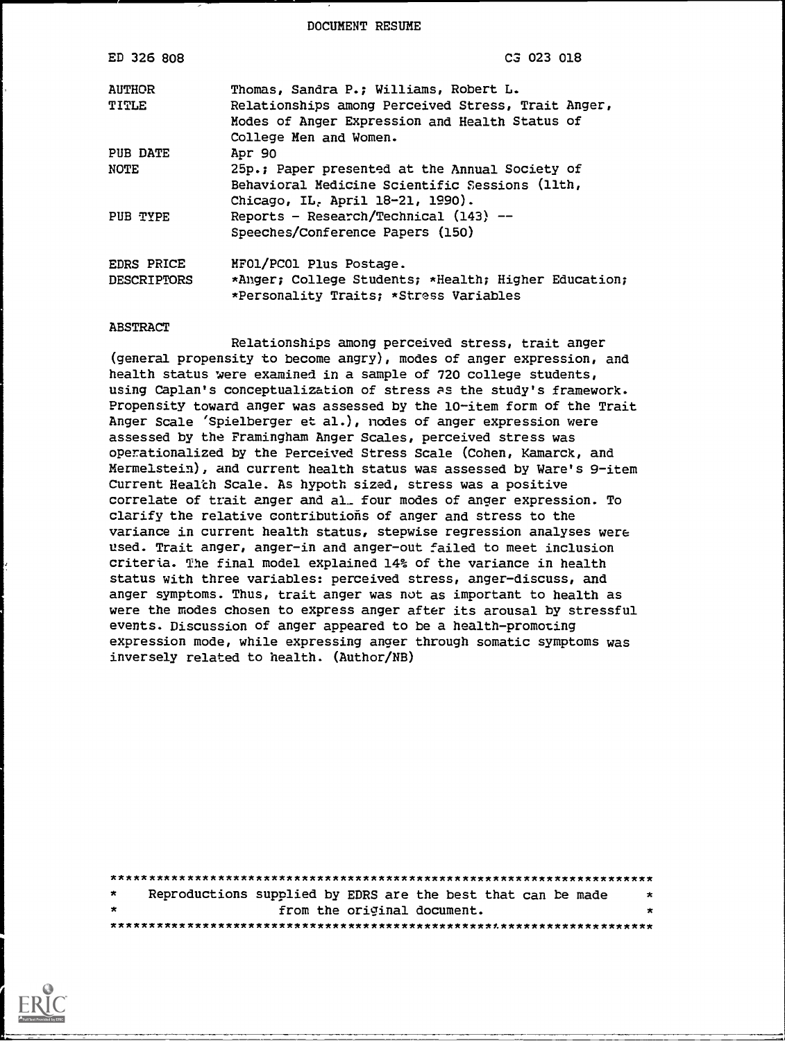DOCUMENT RESUME

| C3 023 018                                                                                     |
|------------------------------------------------------------------------------------------------|
| Thomas, Sandra P.; Williams, Robert L.                                                         |
| Relationships among Perceived Stress, Trait Anger,                                             |
| Modes of Anger Expression and Health Status of                                                 |
| College Men and Women.                                                                         |
| Apr 90                                                                                         |
| 25p.; Paper presented at the Annual Society of                                                 |
| Behavioral Medicine Scientific Sessions (llth,                                                 |
| Chicago, IL. April 18-21, 1990).                                                               |
| Reports - Research/Technical (143) --                                                          |
| Speeches/Conference Papers (150)                                                               |
| MFOl/PCOl Plus Postage.                                                                        |
| *Anger; College Students; *Health; Higher Education;<br>*Personality Traits; *Stress Variables |
|                                                                                                |

#### ABSTRACT

Relationships among perceived stress, trait anger (general propensity to become angry), modes of anger expression, and health status were examined in a sample of 720 college students, using Caplan's conceptualization of stress as the study's framework. Propensity toward anger was assessed by the 10-item form of the Trait Anger Scale 'Spielberger et al.), nodes of anger expression were assessed by the Framingham Anger Scales, perceived stress was operationalized by the Perceived Stress Scale (Cohen, Kamarck, and Mermelstein), and current health status was assessed by Ware's 9-item Current Health Scale. As hypoth sized, stress was a positive correlate of trait anger and al\_ four modes of anger expression. To clarify the relative contributions of anger and stress to the variance in current health status, stepwise regression analyses were used. Trait anger, anger-in and anger-out failed to meet inclusion criteria. The final model explained 14% of the variance in health status with three variables: perceived stress, anger-discuss, and anger symptoms. Thus, trait anger was not as important to health as were the modes chosen to express anger after its arousal by stressful events. Discussion of anger appeared to be a health-promoting expression mode, while expressing anger through somatic symptoms was inversely related to health. (Author/NB)

| $\star$ | Reproductions supplied by EDRS are the best that can be made |  |  |                             |  | $\star$ |
|---------|--------------------------------------------------------------|--|--|-----------------------------|--|---------|
| $\star$ |                                                              |  |  | from the original document. |  | ∗       |
|         |                                                              |  |  |                             |  |         |

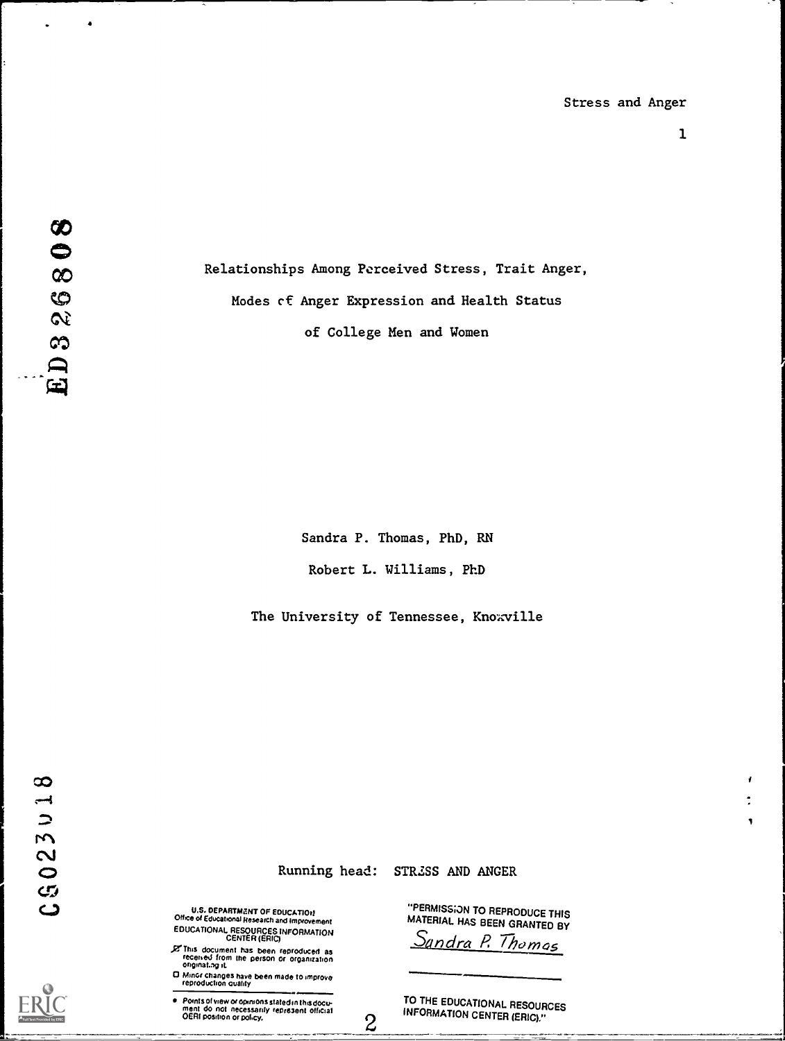1

 $\blacksquare$ 

4

Relationships Among Perceived Stress, Trait Anger, Modes cf Anger Expression and Health Status of College Men and Women

Sandra P. Thomas, PhD, RN

Robert L. Williams, PhD

The University of Tennessee, Knowville

Running head:

 $\overline{c}$ 

STRZSS AND ANGER

U.S. DEPARTMENT OF EDUCATION<br>Office of Educational Research and Improvement EDUCATIONAL RESOURCES INFORMATION CENTER (ERIC)

This document has been reproduced as<br>received from the person or organization<br>originat.ng.it

0 Mulct changes have been made to improve reproduchon duality

Points of view of opinionsstated in thisdocu ment do not necessarily represent official OERI oosmon or poky.

"PERMISS;ON TO REPRODUCE THIS MATERIAL HAS BEEN GRANTED BY

<u>Sundra P. Thomas</u>

TO THE EDUCATIONAL RESOURCES INFORMATION CENTER (ERIC)."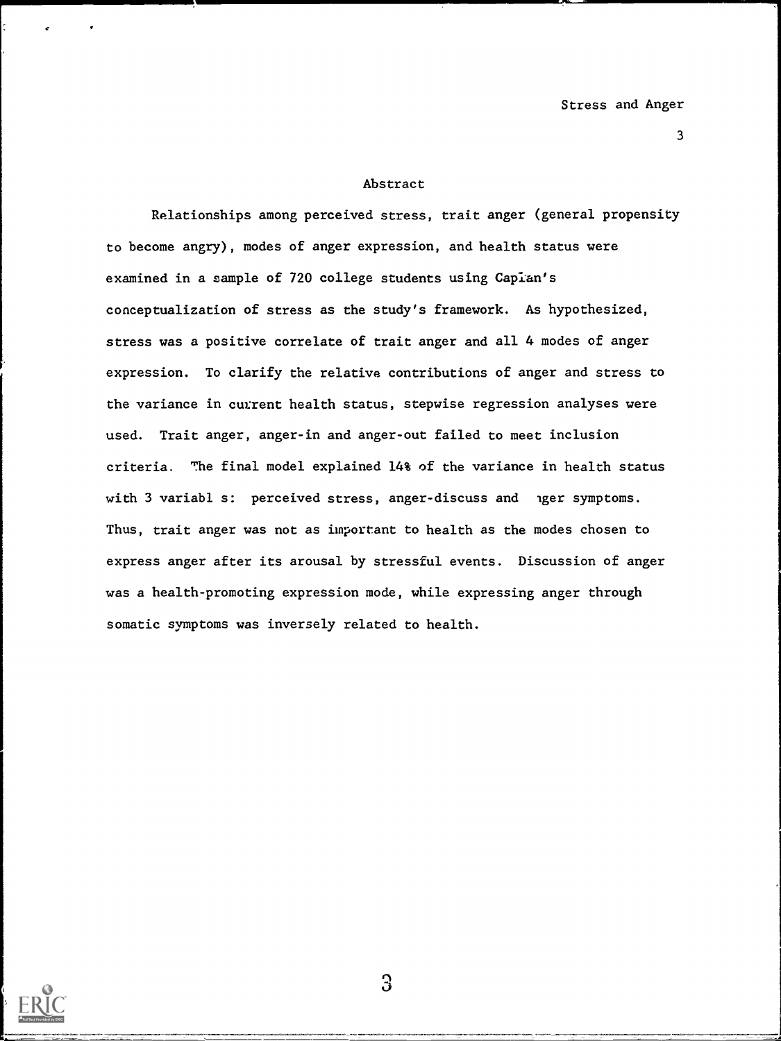#### Abstract

Relationships among perceived stress, trait anger (general propensity to become angry), modes of anger expression, and health status were examined in a sample of 720 college students using Caplan's conceptualization of stress as the study's framework. As hypothesized, stress was a positive correlate of trait anger and all 4 modes of anger expression. To clarify the relative contributions of anger and stress to the variance in current health status, stepwise regression analyses were used. Trait anger, anger-in and anger-out failed to meet inclusion criteria. The final model explained 14% of the variance in health status with 3 variabl s: perceived stress, anger-discuss and nger symptoms. Thus, trait anger was not as important to health as the modes chosen to express anger after its arousal by stressful events. Discussion of anger was a health-promoting expression mode, while expressing anger through somatic symptoms was inversely related to health.



 $\Im$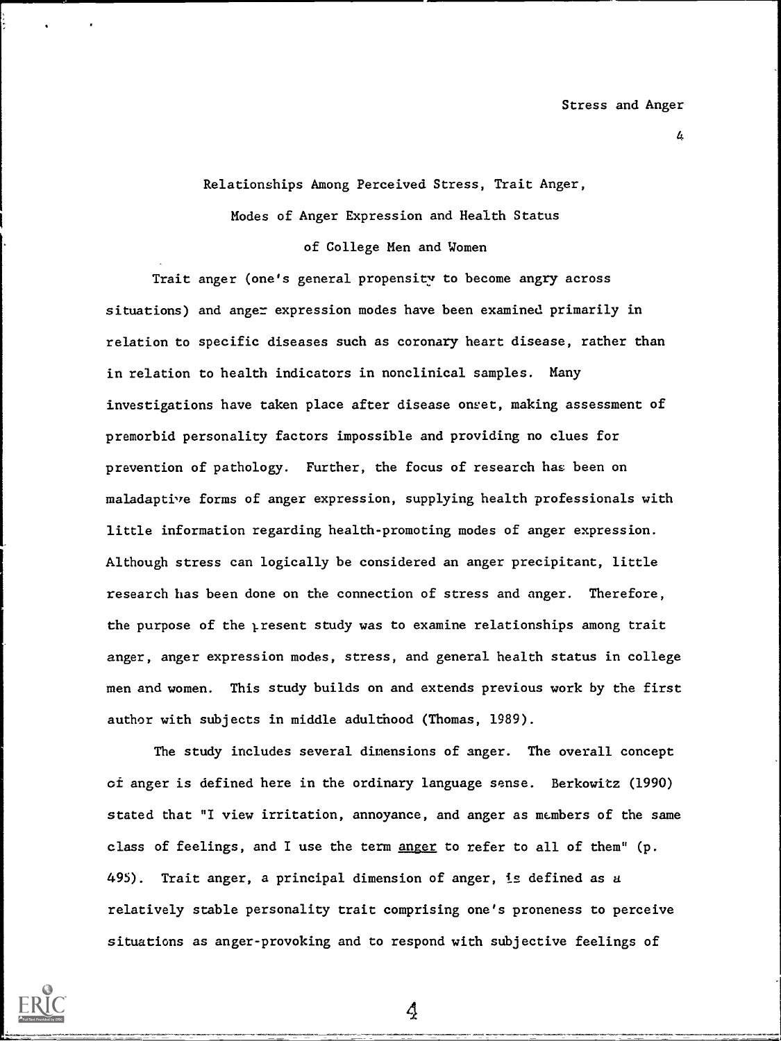L.

Relationships Among Perceived Stress, Trait Anger,

Modes of Anger Expression and Health Status

of College Men and Women

Trait anger (one's general propensity to become angry across situations) and anger expression modes have been examined primarily in relation to specific diseases such as coronary heart disease, rather than in relation to health indicators in nonclinical samples. Many investigations have taken place after disease onset, making assessment of premorbid personality factors impossible and providing no clues for prevention of pathology. Further, the focus of research has been on maladaptive forms of anger expression, supplying health professionals with little information regarding health-promoting modes of anger expression. Although stress can logically be considered an anger precipitant, little research has been done on the connection of stress and anger. Therefore, the purpose of the yresent study was to examine relationships among trait anger, anger expression modes, stress, and general health status in college men and women. This study builds on and extends previous work by the first author with subjects in middle adulthood (Thomas, 1989).

The study includes several dimensions of anger. The overall concept of anger is defined here in the ordinary language sense. Berkowitz (1990) stated that "I view irritation, annoyance, and anger as members of the same class of feelings, and I use the term anger to refer to all of them" (p. 495). Trait anger, a principal dimension of anger, is defined as a relatively stable personality trait comprising one's proneness to perceive situations as anger-provoking and to respond with subjective feelings of

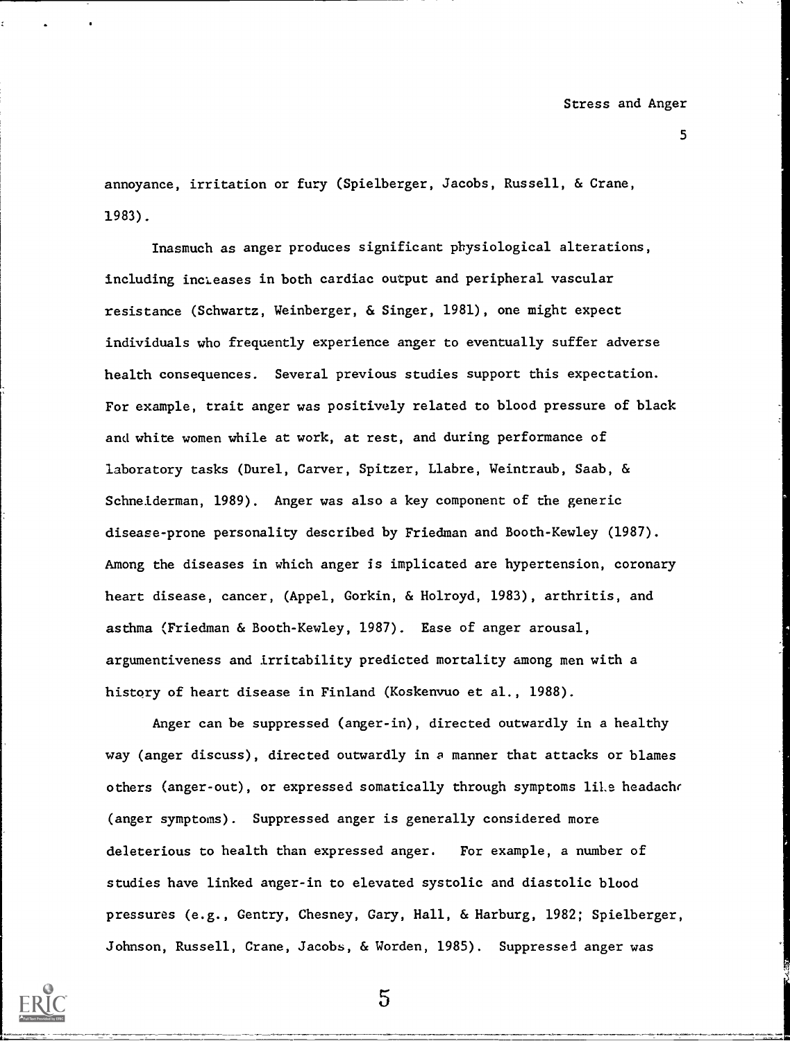annoyance, irritation or fury (Spielberger, Jacobs, Russell, & Crane, 1983).

Inasmuch as anger produces significant physiological alterations, including incLeases in both cardiac output and peripheral vascular resistance (Schwartz, Weinberger, & Singer, 1981), one might expect individuals who frequently experience anger to eventually suffer adverse health consequences. Several previous studies support this expectation. For example, trait anger was positively related to blood pressure of black and white women while at work, at rest, and during performance of laboratory tasks (Durel, Carver, Spitzer, Llabre, Weintraub, Saab, & Schneiderman, 1989). Anger was also a key component of the generic disease-prone personality described by Friedman and Booth-Kewley (1987). Among the diseases in which anger is implicated are hypertension, coronary heart disease, cancer, (Appel, Gorkin, & Holroyd, 1983), arthritis, and asthma (Friedman & Booth-Kewley, 1987). Ease of anger arousal, argumentiveness and irritability predicted mortality among men with a history of heart disease in Finland (Koskenvuo et al., 1988).

Anger can be suppressed (anger-in), directed outwardly in a healthy way (anger discuss), directed outwardly in a manner that attacks or blames others (anger-out), or expressed somatically through symptoms liLe headache (anger symptoms). Suppressed anger is generally considered more deleterious to health than expressed anger. For example, a number of studies have linked anger-in to elevated systolic and diastolic blood pressures (e.g., Gentry, Chesney, Gary, Hall, & Harburg, 1982; Spielberger, Johnson, Russell, Crane, Jacobs, & Worden, 1985). Suppressed anger was

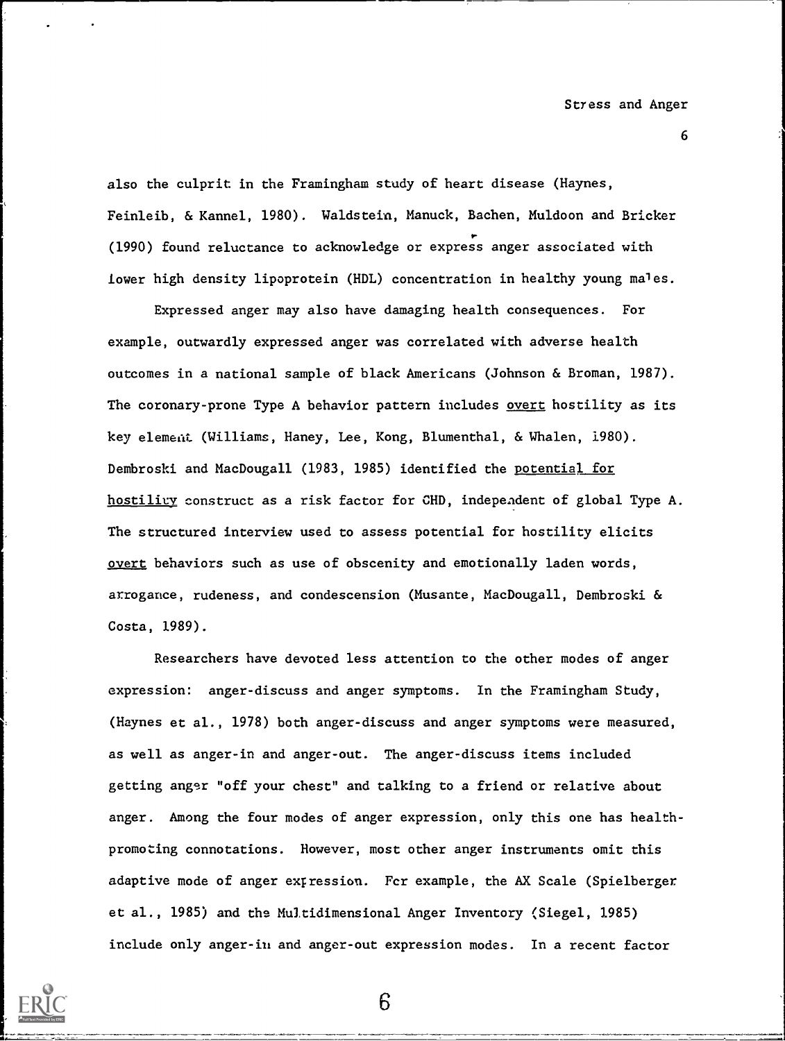also the culprit in the Framingham study of heart disease (Haynes, Feinleib, & Kennel, 1980). Waldstein, Manuck, Bachen, Muldoon and Bricker (1990) found reluctance to acknowledge or express anger associated with lower high density lipoprotein (HDL) concentration in healthy young males.

Expressed anger may also have damaging health consequences. For example, outwardly expressed anger was correlated with adverse health outcomes in a national sample of black Americans (Johnson & Broman, 1987). The coronary-prone Type A behavior pattern includes overt hostility as its key element (Williams, Haney, Lee, Kong, Blumenthal, & Whalen, 1980). Dembroski and MacDougall (1983, 1985) identified the potential for hostility construct as a risk factor for CHD, independent of global Type A. The structured interview used to assess potential for hostility elicits overt behaviors such as use of obscenity and emotionally laden words, arrogance, rudeness, and condescension (Musante, MacDougall, Dembroski & Costa, 1989).

Researchers have devoted less attention to the other modes of anger expression: anger-discuss and anger symptoms. In the Framingham Study, (Haynes et al., 1978) both anger-discuss and anger symptoms were measured, as well as anger-in and anger-out. The anger-discuss items included getting anger "off your chest" and talking to a friend or relative about anger. Among the four modes of anger expression, only this one has healthpromoting connotations. However, most other anger instruments omit this adaptive mode of anger exrression. Fcr example, the AX Scale (Spielberger et al., 1985) and the Multidimensional Anger Inventory (Siegel, 1985) include only anger-in and anger-out expression modes. In a recent factor

6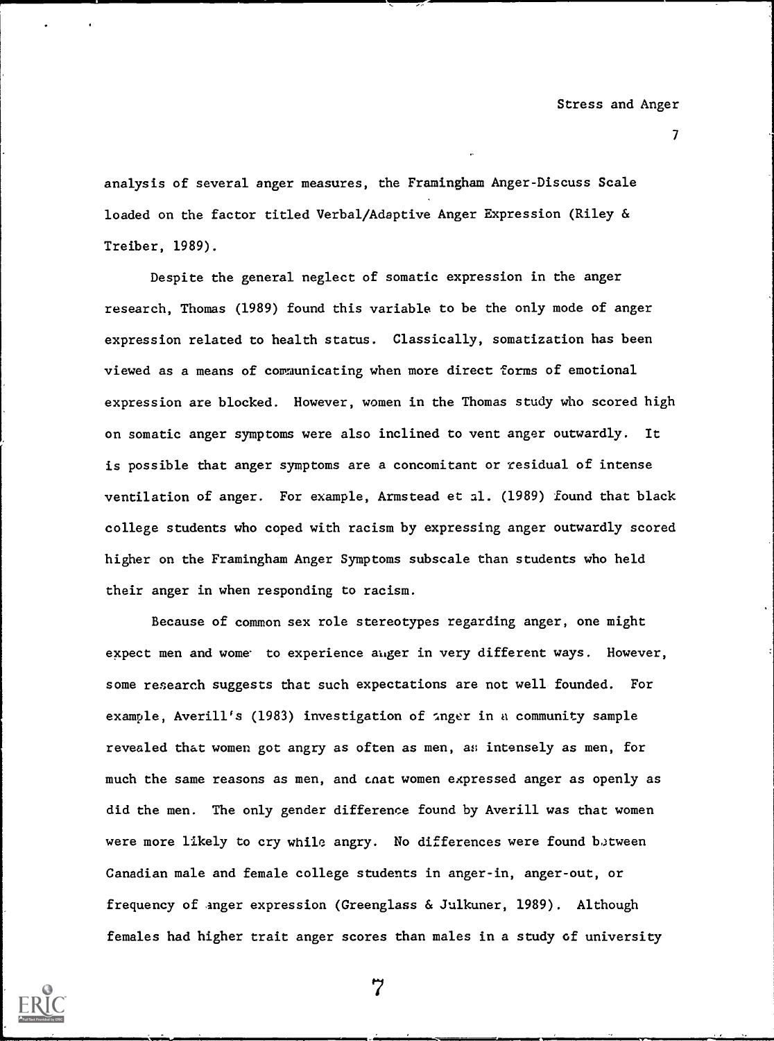$\mathcal{T}$  and  $\mathcal{T}$ 

analysis of several anger measures, the Framingham Anger-Discuss Scale loaded on the factor titled Verbal/Adaptive Anger Expression (Riley & Treiber, 1989).

Despite the general neglect of somatic expression in the anger research, Thomas (1989) found this variable to be the only mode of anger expression related to health status. Classically, somatization has been viewed as a means of communicating when more direct forms of emotional expression are blocked. However, women in the Thomas study who scored high on somatic anger symptoms were also inclined to vent anger outwardly. It is possible that anger symptoms are a concomitant or residual of intense ventilation of anger. For example, Armstead et al. (1989) found that black college students who coped with racism by expressing anger outwardly scored higher on the Framingham Anger Symptoms subscale than students who held their anger in when responding to racism.

Because of common sex role stereotypes regarding anger, one might expect men and wome to experience anger in very different ways. However, some research suggests that such expectations are not well founded. For example, Averill's (1983) investigation of  $\Omega$ nger in a community sample revealed that women got angry as often as men, as intensely as men, for much the same reasons as men, and cnat women expressed anger as openly as did the men. The only gender difference found by Averill was that women were more likely to cry while angry. No differences were found between Canadian male and female college students in anger-in, anger-out, or frequency of anger expression (Greenglass & Julkuner, 1989). Although females had higher trait anger scores than males in a study of university

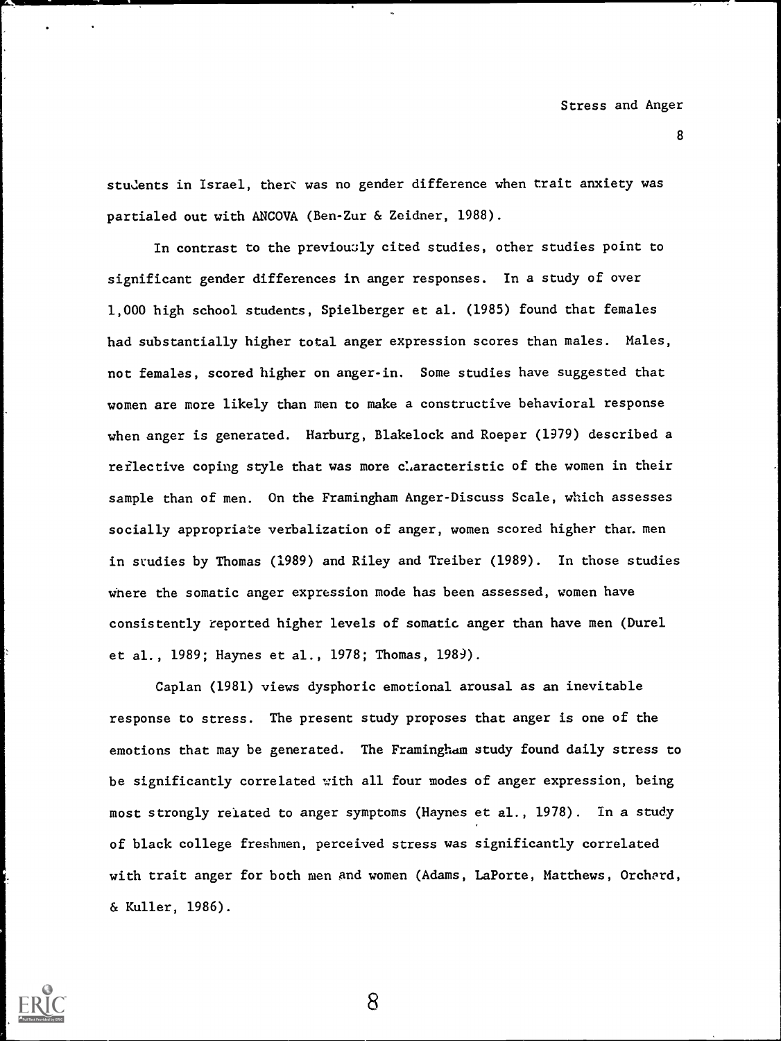stu.lents in Israel, there was no gender difference when trait anxiety was partialed out with ANCOVA (Ben-Zur & Zeidner, 1988).

In contrast to the previously cited studies, other studies point to significant gender differences in anger responses. In a study of over 1,000 high school students, Spielberger et al. (1985) found that females had substantially higher total anger expression scores than males. Males, not females, scored higher on anger-in. Some studies have suggested that women are more likely than men to make a constructive behavioral response when anger is generated. Harburg, Blakelock and Roepar (1979) described a reflective coping style that was more claracteristic of the women in their sample than of men. On the Framingham Anger-Discuss Scale, which assesses socially appropriate verbalization of anger, women scored higher than men in srudies by Thomas (1989) and Riley and Treiber (1989). In those studies wnere the somatic anger expression mode has been assessed, women have consistently reported higher levels of somatic anger than have men (Durel et al., 1989; Haynes et al., 1978; Thomas, 1989).

Caplan (1981) views dysphoric emotional arousal as an inevitable response to stress. The present study proposes that anger is one of the emotions that may be generated. The Framingham study found daily stress to be significantly correlated with all four modes of anger expression, being most strongly related to anger symptoms (Haynes et al., 1978). In a study of black college freshmen, perceived stress was significantly correlated with trait anger for both men and women (Adams, LaPorte, Matthews, Orchard, & Kuller, 1986).

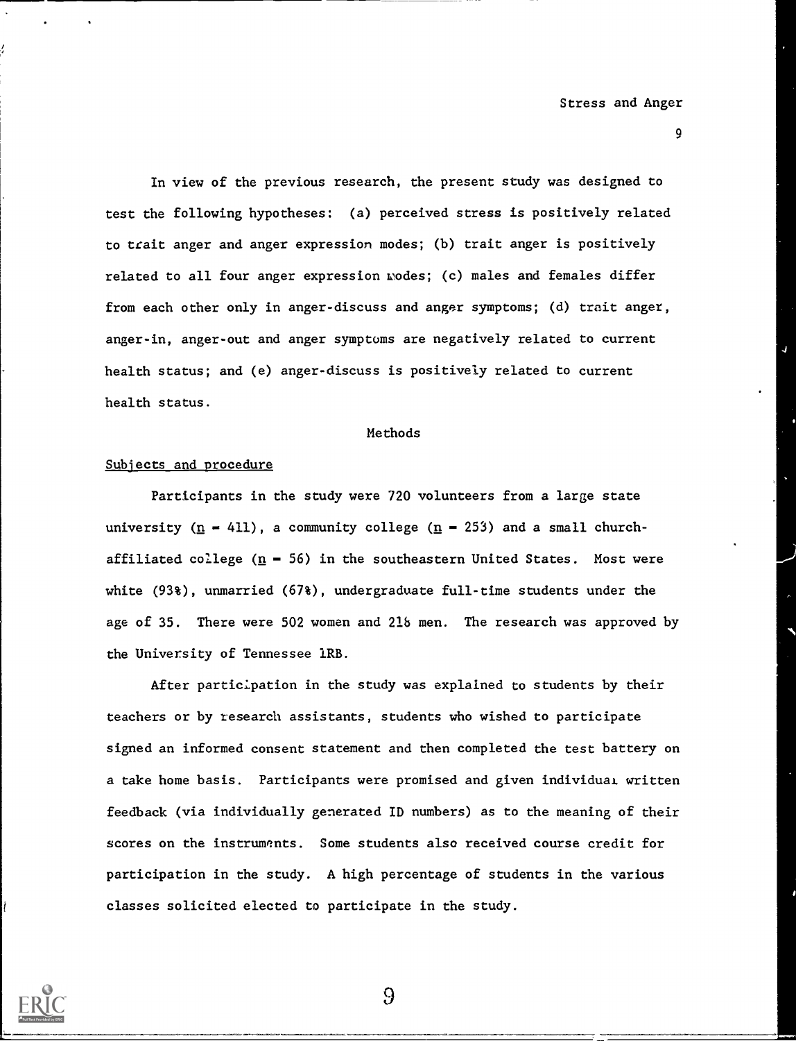9

In view of the previous research, the present study was designed to test the following hypotheses: (a) perceived stress is positively related to trait anger and anger expression modes; (b) trait anger is positively related to all four anger expression wodes; (c) males and females differ from each other only in anger-discuss and anger symptoms; (d) trait anger, anger-in, anger-out and anger symptoms are negatively related to current health status; and (e) anger-discuss is positively related to current health status.

#### Methods

#### Subjects and procedure

Participants in the study were 720 volunteers from a large state university  $(n - 411)$ , a community college  $(n - 253)$  and a small churchaffiliated college  $(n - 56)$  in the southeastern United States. Most were white (93%), unmarried (67%), undergraduate full-time students under the age of 35. There were 502 women and 218 men. The research was approved by the University of Tennessee 1RB.

After participation in the study was explained to students by their teachers or by research assistants, students who wished to participate signed an informed consent statement and then completed the test battery on a take home basis. Participants were promised and given individual written feedback (via individually generated ID numbers) as to the meaning of their scores on the instruments. Some students also received course credit for participation in the study. A high percentage of students in the various classes solicited elected to participate in the study.

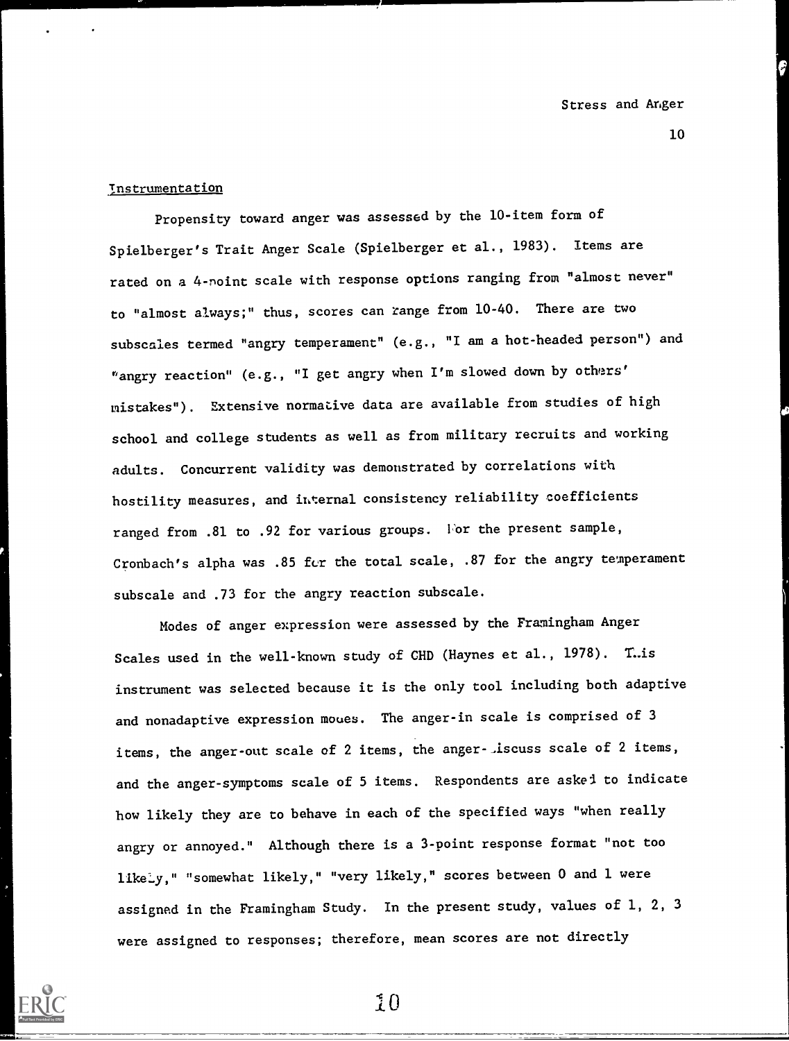### **Instrumentation**

Propensity toward anger was assessed by the 10-item form of Spielberger's Trait Anger Scale (Spielberger et al., 1983). Items are rated on a 4-noint scale with response options ranging from "almost never" to "almost always;" thus, scores can range from 10-40. There are two subscales termed "angry temperament" (e.g., "I am a hot-headed person") and "angry reaction" (e.g., "I get angry when I'm slowed down by others' mistakes"). Extensive normative data are available from studies of high school and college students as well as from military recruits and working adults. Concurrent validity was demonstrated by correlations with hostility measures, and internal consistency reliability coefficients ranged from .81 to .92 for various groups. For the present sample, Cronbach's alpha was .85 for the total scale, .87 for the angry temperament subscale and .73 for the angry reaction subscale.

Modes of anger expression were assessed by the Framingham Anger Scales used in the well-known study of CHD (Haynes et al., 1978). T.is instrument was selected because it is the only tool including both adaptive and nonadaptive expression moues. The anger-in scale is comprised of 3 items, the anger-out scale of 2 items, the anger-.iscuss scale of 2 items, and the anger-symptoms scale of 5 items. Respondents are askei to indicate how likely they are to behave in each of the specified ways "when really angry or annoyed." Although there is a 3-point response format "not too likeLy," "somewhat likely," "very likely," scores between 0 and 1 were assigned in the Framingham Study. In the present study, values of 1, 2, 3 were assigned to responses; therefore, mean scores are not directly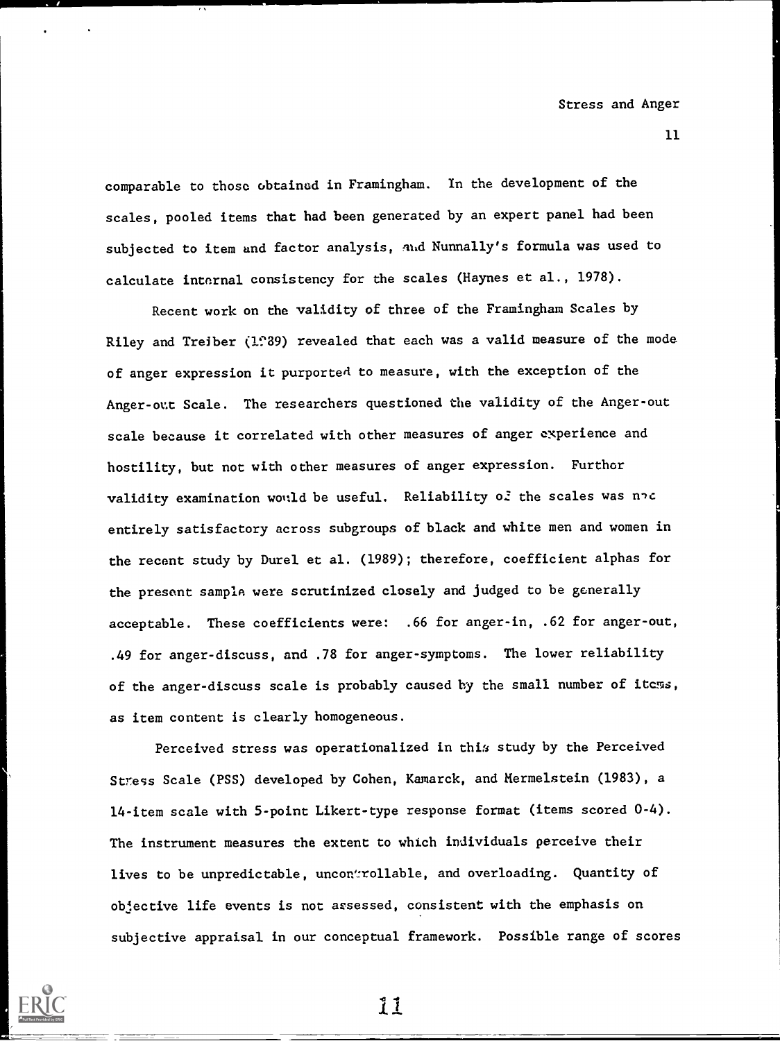comparable to those obtainod in Framingham. In the development of the scales, pooled items that had been generated by an expert panel had been subjected to item and factor analysis, nhd Nunnally's formula was used to calculate internal consistency for the scales (Haynes et al., 1978).

Recent work on the validity of three of the Framingham Scales by Riley and Treiber (1.89) revealed that each was a valid measure of the mode of anger expression it purported to measure, with the exception of the Anger-out Scale. The researchers questioned the validity of the Anger-out scale because it correlated with other measures of anger experience and hostility, but not with other measures of anger expression. Furthor validity examination would be useful. Reliability of the scales was noc entirely satisfactory across subgroups of black and white men and women in the recent study by Durel et al. (1989); therefore, coefficient alphas for the present sample were scrutinized closely and judged to be generally acceptable. These coefficients were: .66 for anger-in, .62 for anger-out, .49 for anger-discuss, and .78 for anger-symptoms. The lower reliability of the anger-discuss scale is probably caused by the small number of itcms, as item content is clearly homogeneous.

Perceived stress was operationalized in this study by the Perceived Stress Scale (PSS) developed by Cohen, Kamarck, and Mermelstein (1983), a 14-item scale with 5-point Likert-type response format (items scored 0-4). The instrument measures the extent to which individuals perceive their lives to be unpredictable, uncontrollable, and overloading. Quantity of objective life events is not arsessed, consistent with the emphasis on subjective appraisal in our conceptual framework. Possible range of scores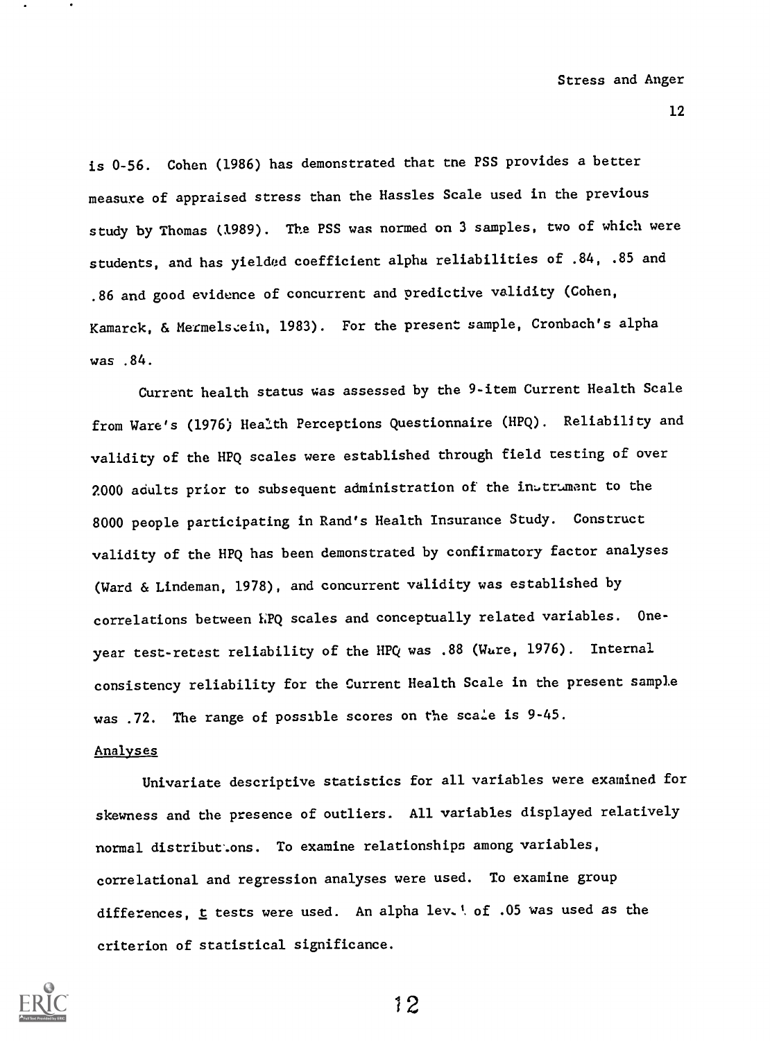is 0-56. Cohen (1986) has demonstrated that tne PSS provides a better measure of appraised stress than the Hassles Scale used in the previous study by Thomas (1989). The PSS was normed on 3 samples, two of which were students, and has yielded coefficient alpha reliabilities of .84, .85 and .86 and good evidence of concurrent and predictive validity (Cohen, Kamarck, & Mermelszein, 1983). For the present sample, Cronbach's alpha was .84.

Current health status uas assessed by the 9-item Current Health Scale from Ware's (1976) Health Perceptions Questionnaire (HPQ). Reliability and validity of the HPQ scales were established through field testing of over 2000 adults prior to subsequent administration of the inetrument to the 8000 people participating in Rand's Health Insurance Study. Construct validity of the HPQ has been demonstrated by confirmatory factor analyses (Ward & Lindeman, 1978), and concurrent validity was established by correlations between hPQ scales and conceptually related variables. Oneyear test-retest reliability of the HPQ was .88 (Wure, 1976). Internal consistency reliability for the Current Health Scale in the present sample was .72. The range of possible scores on the scale is 9-45.

#### Analyses

Univariate descriptive statistics for all variables were examined for skewness and the presence of outliers. All variables displayed relatively normal distribut.ons. To examine relationships among variables, correlational and regression analyses were used. To examine group differences,  $t$  tests were used. An alpha lev. ! of .05 was used as the criterion of statistical significance.

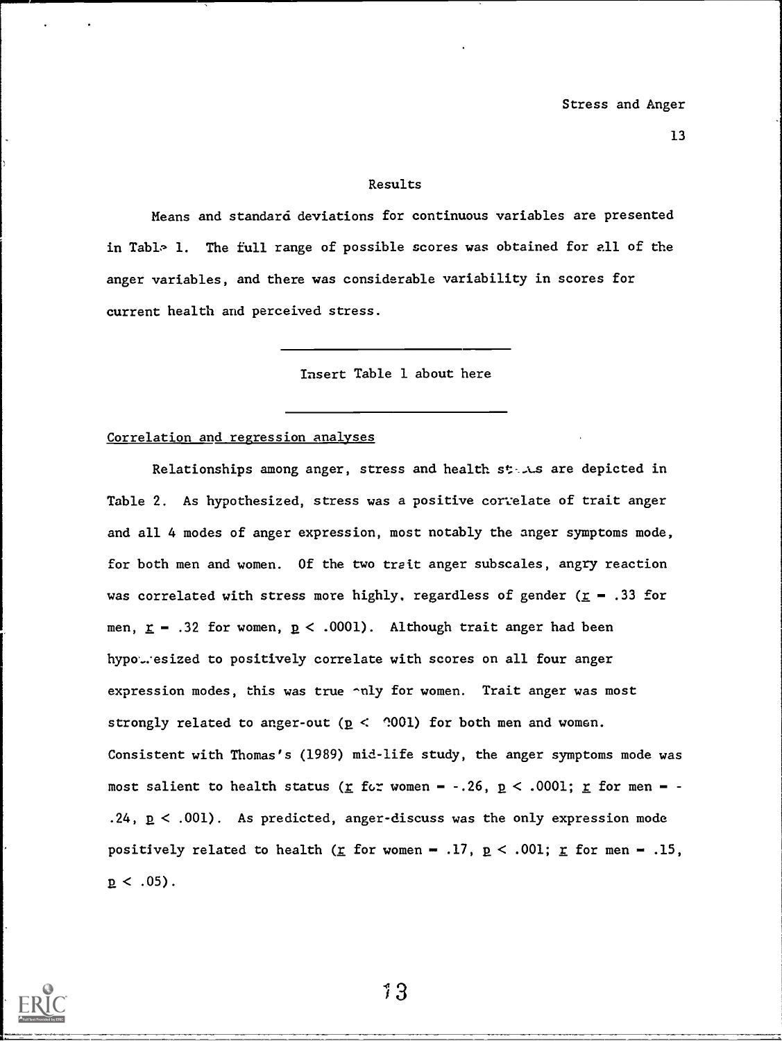#### Results

Means and standard deviations for continuous variables are presented in Table 1. The full range of possible scores was obtained for all of the anger variables, and there was considerable variability in scores for current health and perceived stress.

Insert Table 1 about here

#### Correlation and regression analyses

Relationships among anger, stress and health states are depicted in Table 2. As hypothesized, stress was a positive correlate of trait anger and all 4 modes of anger expression, most notably the anger symptoms mode, for both men and women. Of the two trait anger subscales, angry reaction was correlated with stress more highly, regardless of gender ( $\underline{r}$  - .33 for men,  $r = .32$  for women,  $p < .0001$ ). Although trait anger had been hypotesized to positively correlate with scores on all four anger expression modes, this was true -nly for women. Trait anger was most strongly related to anger-out ( $p <$  001) for both men and women. Consistent with Thomas's (1989) mid-life study, the anger symptoms mode was most salient to health status ( $\underline{r}$  for women - -.26,  $\underline{p}$  < .0001;  $\underline{r}$  for men - -.24, p < .001). As predicted, anger-discuss was the only expression mode positively related to health ( $\underline{r}$  for women - .17,  $\underline{p}$  < .001;  $\underline{r}$  for men - .15,  $p < .05$ ).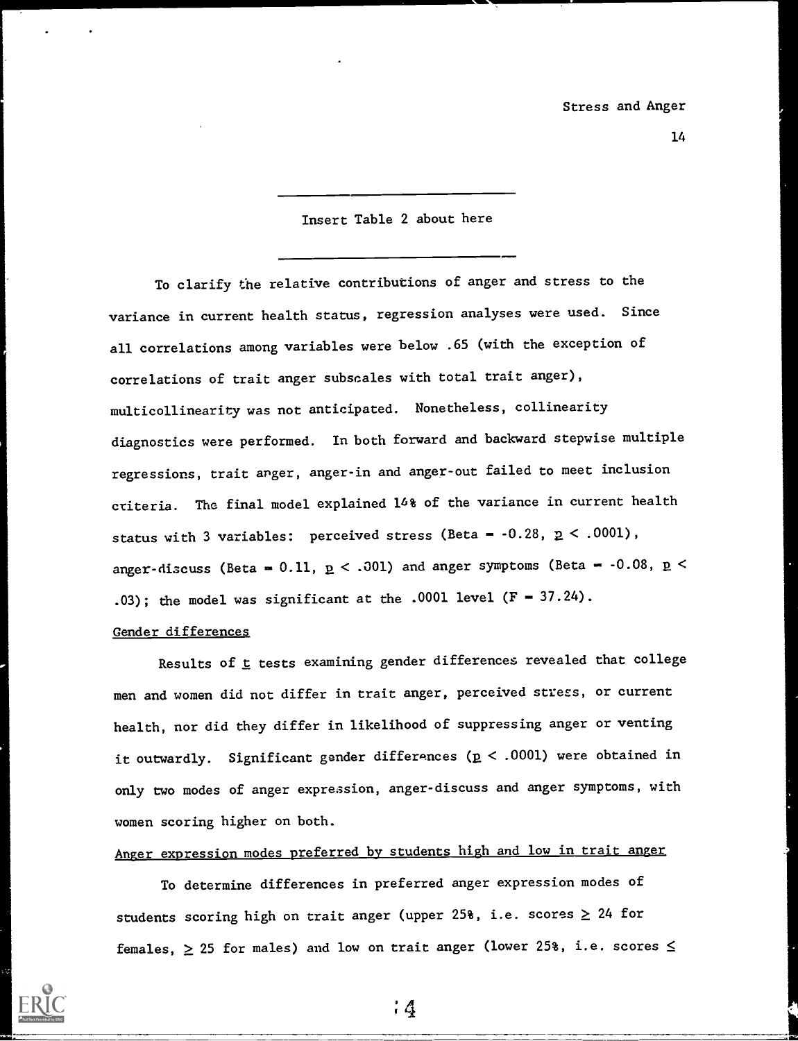#### Insert Table 2 about here

To clarify the relative contributions of anger and stress to the variance in current health status, regression analyses were used. Since all correlations among variables were below .65 (with the exception of correlations of trait anger subscales with total trait anger), multicollinearity was not anticipated. Nonetheless, collinearity diagnostics were performed. In both forward and backward stepwise multiple regressions, trait anger, anger-in and anger-out failed to meet inclusion criteria. The final model explained 16% of the variance in current health status with 3 variables: perceived stress (Beta =  $-0.28$ ,  $p < .0001$ ), anger-discuss (Beta = 0.11,  $p < .001$ ) and anger symptoms (Beta = -0.08,  $p <$ .03); the model was significant at the .0001 level  $(F = 37.24)$ .

#### Gender differences

Results of  $t$  tests examining gender differences revealed that college men and women did not differ in trait anger, perceived stress, or current health, nor did they differ in likelihood of suppressing anger or venting it outwardly. Significant gender differances ( $p < .0001$ ) were obtained in only two modes of anger expression, anger-discuss and anger symptoms, with women scoring higher on both.

Anger expression modes preferred by students high and low in trait anger

To determine differences in preferred anger expression modes of students scoring high on trait anger (upper 25%, i.e. scores  $\geq 24$  for females,  $\geq$  25 for males) and low on trait anger (lower 25%, i.e. scores  $\leq$ 

 $4 \frac{4}{3}$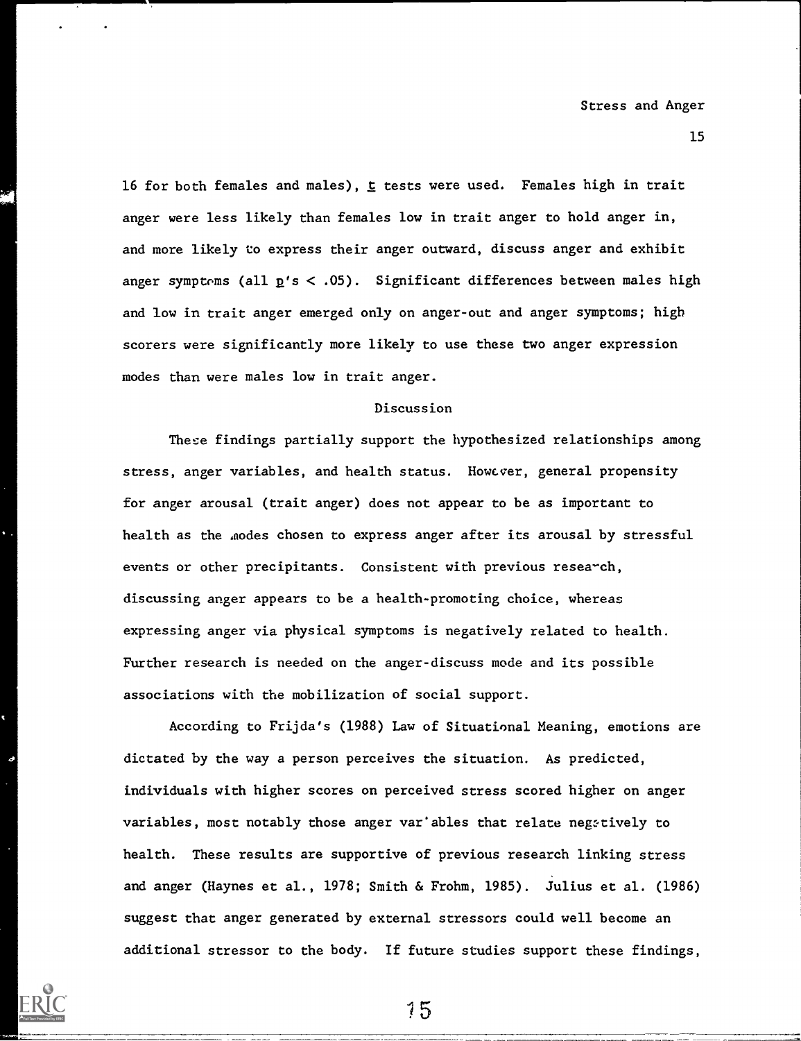16 for both females and males),  $t$  tests were used. Females high in trait anger were less likely than females low in trait anger to hold anger in, and more likely to express their anger outward, discuss anger and exhibit anger symptoms (all  $p's < .05$ ). Significant differences between males high and low in trait anger emerged only on anger-out and anger symptoms; high scorers were significantly more likely to use these two anger expression modes than were males low in trait anger.

#### Discussion

These findings partially support the hypothesized relationships among stress, anger variables, and health status. However, general propensity for anger arousal (trait anger) does not appear to be as important to health as the aodes chosen to express anger after its arousal by stressful events or other precipitants. Consistent with previous research, discussing anger appears to be a health-promoting choice, whereas expressing anger via physical symptoms is negatively related to health. Further research is needed on the anger-discuss mode and its possible associations with the mobilization of social support.

According to Frijda's (1988) Law of Situational Meaning, emotions are dictated by the way a person perceives the situation. As predicted, individuals with higher scores on perceived stress scored higher on anger variables, most notably those anger var'ables that relate negatively to health. These results are supportive of previous research linking stress and anger (Haynes et al., 1978; Smith & Frohm, 1985). Julius et al. (1986) suggest that anger generated by external stressors could well become an additional stressor to the body. If future studies support these findings,

'1 5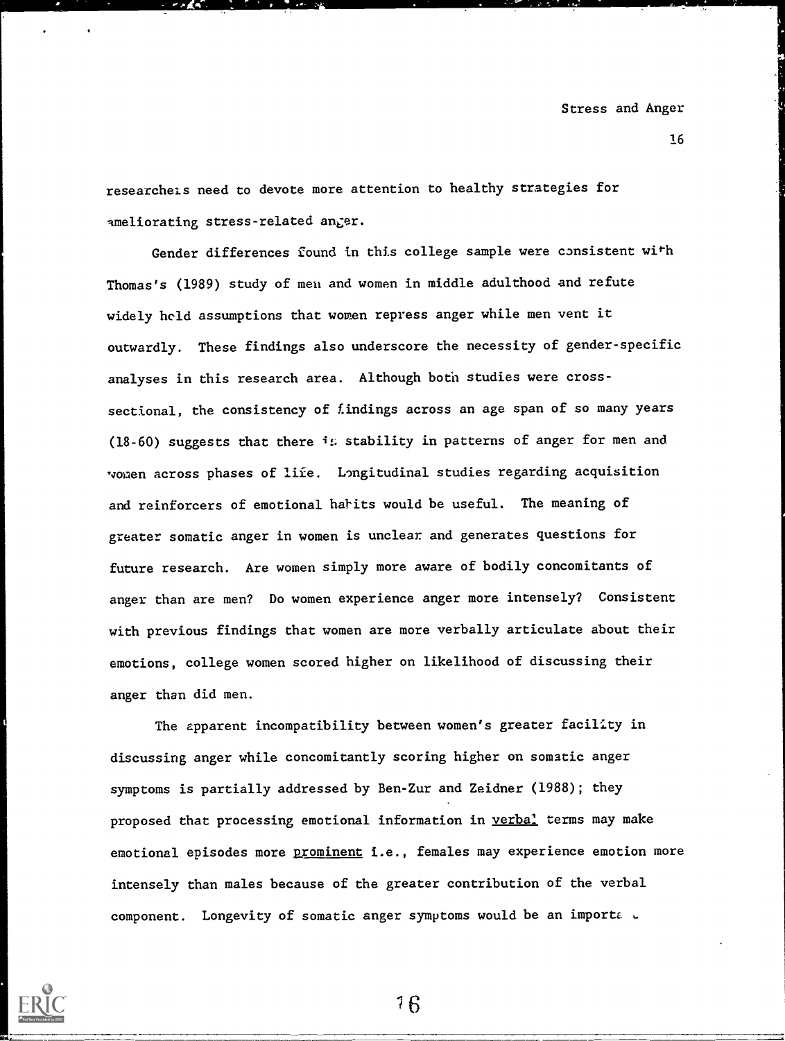researcheis need to devote more attention to healthy strategies for ameliorating stress-related anger.

Gender differences found in this college sample were consistent with Thomas's (1989) study of meu and women in middle adulthood and refute widely held assumptions that women repress anger while men vent it outwardly. These findings also underscore the necessity of gender-specific analyses in this research area. Although both studies were crosssectional, the consistency of findings across an age span of so many years (18-60) suggests that there  $i$ : stability in patterns of anger for men and Nomen across phases of life. Longitudinal studies regarding acquisition and reinforcers of emotional habits would be useful. The meaning of greater somatic anger in women is unclear and generates questions for future research. Are women simply more aware of bodily concomitants of anger than are men? Do women experience anger more intensely? Consistent with previous findings that women are more verbally articulate about their emotions, college women scored higher on likelihood of discussing their anger than did men.

The apparent incompatibility between women's greater facility in discussing anger while concomitantly scoring higher on somatic anger symptoms is partially addressed by Ben-Zur and Zeidner (1988); they proposed that processing emotional information in verbal terms may make emotional episodes more prominent i.e., females may experience emotion more intensely than males because of the greater contribution of the verbal component. Longevity of somatic anger symptoms would be an importa a

6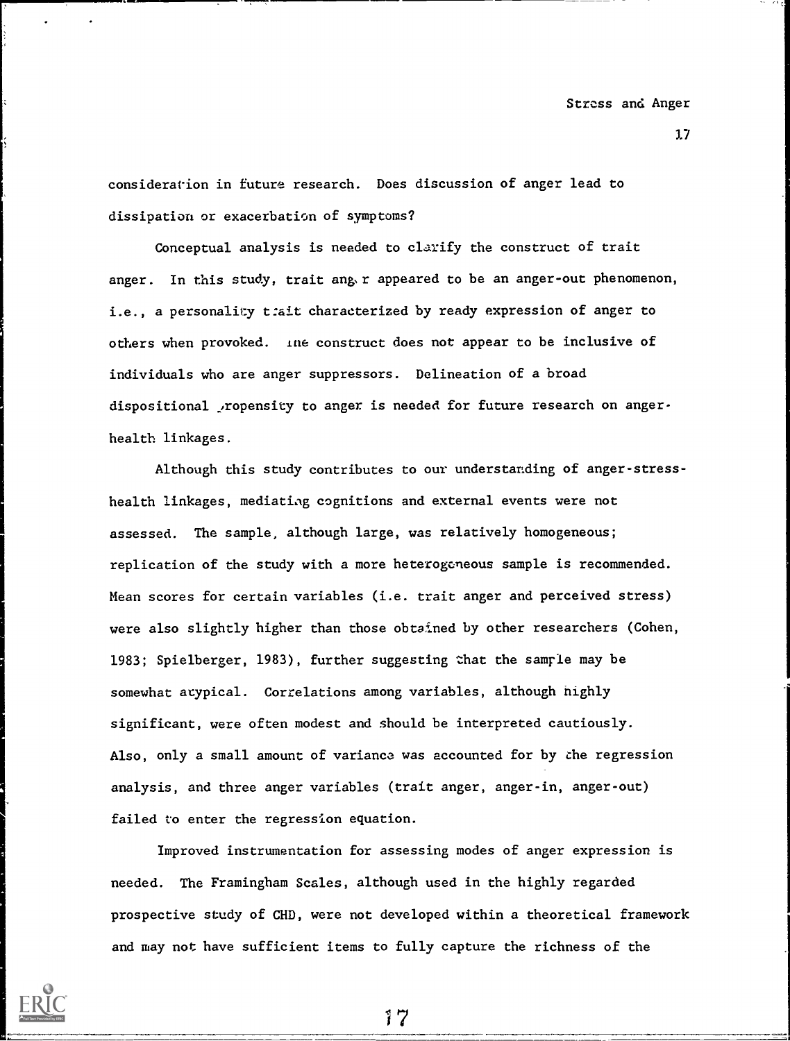consideration in future research. Does discussion of anger lead to dissipation or exacerbation of symptoms?

Conceptual analysis is needed to clarify the construct of trait anger. In this study, trait ang.r appeared to be an anger-out phenomenon, i.e., a personality t:ait characterized by ready expression of anger to others when provoked. ine construct does not appear to be inclusive of individuals who are anger suppressors. Delineation of a broad dispositional ropensity to anger is needed for future research on angerhealth linkages.

Although this study contributes to our understanding of anger-stresshealth linkages, mediating cognitions and external events were not assessed. The sample, although large, was relatively homogeneous; replication of the study with a more heterogeneous sample is recommended. Mean scores for certain variables (i.e. trait anger and perceived stress) were also slightly higher than those obtained by other researchers (Cohen, 1983; Spielberger, 1983), further suggesting that the samrle may be somewhat atypical. Correlations among variables, although nighly significant, were often modest and should be interpreted cautiously. Also, only a small amount of variance was accounted for by the regression analysis, and three anger variables (trait anger, anger-in, anger-out) failed to enter the regression equation.

Improved instrumentation for assessing modes of anger expression is needed. The Framingham Scales, although used in the highly regarded prospective study of CHD, were not developed within a theoretical framework and may not have sufficient items to fully capture the richness of the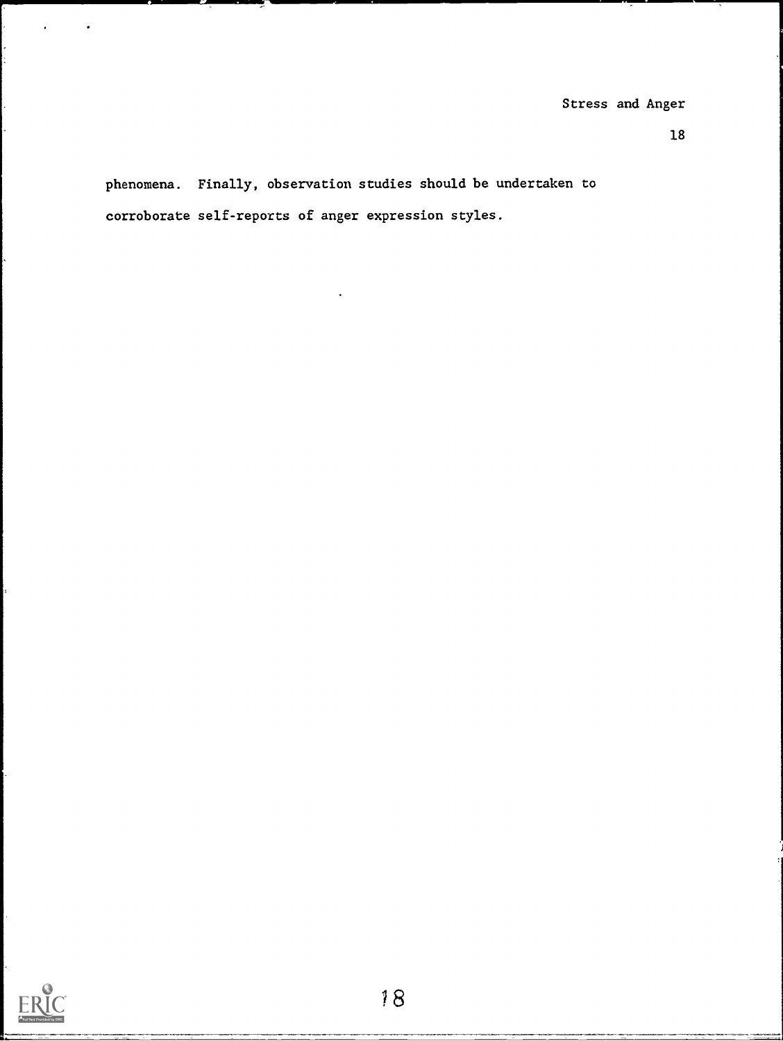18

phenomena. Finally, observation studies should be undertaken to corroborate self-reports of anger expression styles.

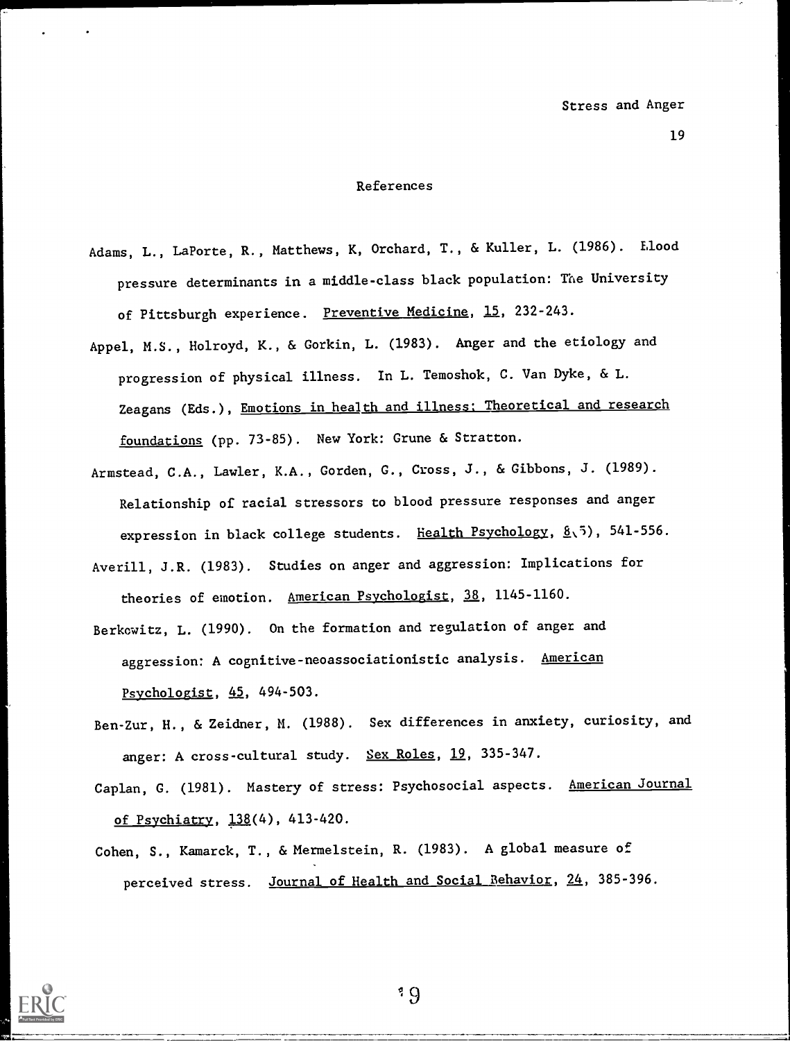#### References

- Adams, L., LaPorte, R., Matthews, K, Orchard, T., & Kuller, L. (1986). flood pressure determinants in a middle-class black population: The University of Pittsburgh experience. Preventive Medicine, 15, 232-243.
- Appel, M.S., Holroyd, K., & Gorkin, L. (1983). Anger and the etiology and progression of physical illness. In L. Temoshok, C. Van Dyke, & L. Zeagans (Eds.), Emotions in health and illness: Theoretical and research foundations (pp. 73-85). New York: Grune & Stratton.
- Armstead, C.A., Lawler, K.A., Gorden, G., Cross, J., & Gibbons, J. (1989). Relationship of racial stressors to blood pressure responses and anger expression in black college students. Health Psychology, 8.5), 541-556.
- Averill, J.R. (1983). Studies on anger and aggression: Implications for theories of emotion. American Psychologist, 38, 1145-1160.
- Berkowitz, L. (1990). On the formation and regulation of anger and aggression: A cognitive-neoassociationistic analysis. American Psychologist, 45, 494-503.
- Ben-Zur, H., & Zeidner, M. (1988). Sex differences in anxiety, curiosity, and anger: A cross-cultural study. Sex Roles, 19, 335-347.
- Caplan, G. (1981). Mastery of stress: Psychosocial aspects. American Journal of Psychiatry, 138(4), 413-420.
- Cohen, S., Kamarck, T., & Mermelstein, R. (1983). A global measure of perceived stress. Journal of Health and Social Behavior, 24, 385-396.

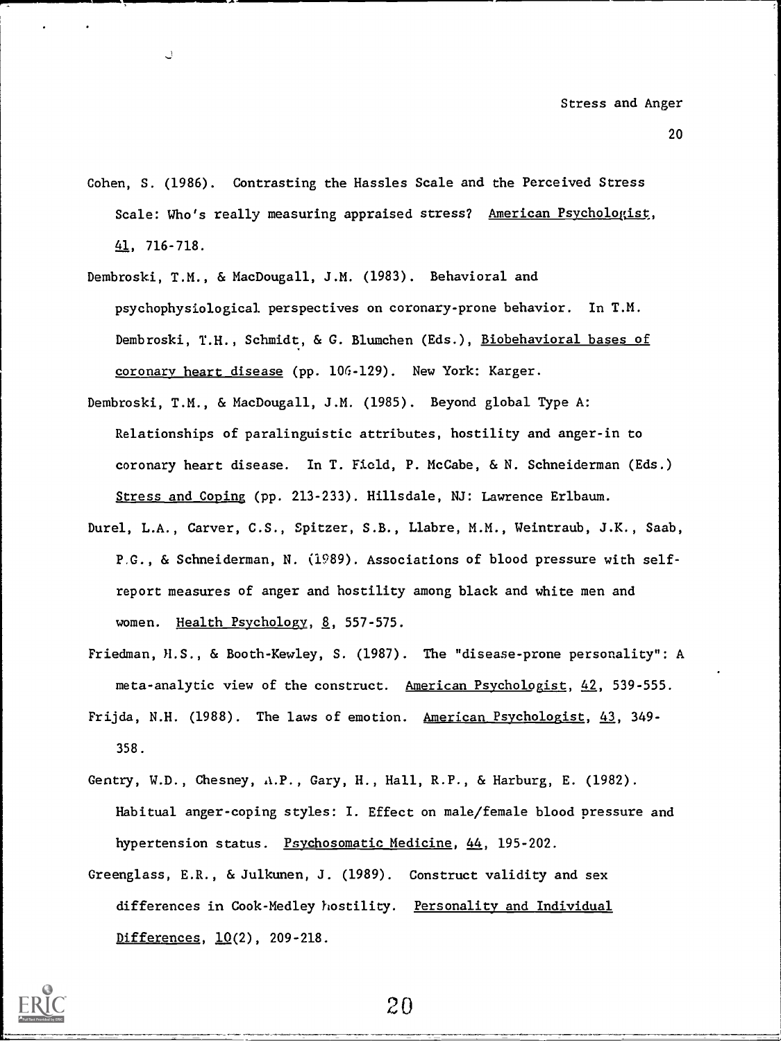- 20
- Cohen, S. (1986). Contrasting the Hassles Scale and the Perceived Stress Scale: Who's really measuring appraised stress? American Psychologist, 41, 716-718.
- Dembroski, T.M., & MacDougall, J.M. (1983). Behavioral and psychophysiological perspectives on coronary-prone behavior. In T.M. Dembroski, T.H., Schmidt, & G. Blumchen (Eds.), Biobehavioral bases of coronary heart disease (pp. 10G-129). New York: Karger.
- Dembroski, T.M., & MacDougall, J.M. (1985). Beyond global Type A: Relationships of paralinguistic attributes, hostility and anger-in to coronary heart disease. In T. Field, P. McCabe, & N. Schneiderman (Eds.) Stress and Coping (pp. 213-233). Hillsdale, NJ: Lawrence Erlbaum.
- Durel, L.A., Carver, C.S., Spitzer, S.B., Llabre, M.M., Weintraub, J.K., Saab, P.G., & Schneiderman, N. (1989). Associations of blood pressure with selfreport measures of anger and hostility among black and white men and women. Health Psychology, 8, 557-575.
- Friedman, H.S., & Booth-Kewley, S. (1987). The "disease-prone personality": A meta-analytic view of the construct. American Psychologist, 42, 539-555. Frijda, N.H. (1988). The laws of emotion. American Psychologist, 43, 349-
- Gentry, W.D., Chesney, A.P., Gary, H., Hall, R.P., & Harburg, E. (1982). Habitual anger-coping styles: I. Effect on male/female blood pressure and hypertension status. Psychosomatic Medicine, 44, 195-202.
- Greenglass, E.R., & Julkunen, J. (1989). Construct validity and sex differences in Cook-Medley hostility. Personality and Individual Differences, 10(2), 209-218.

358.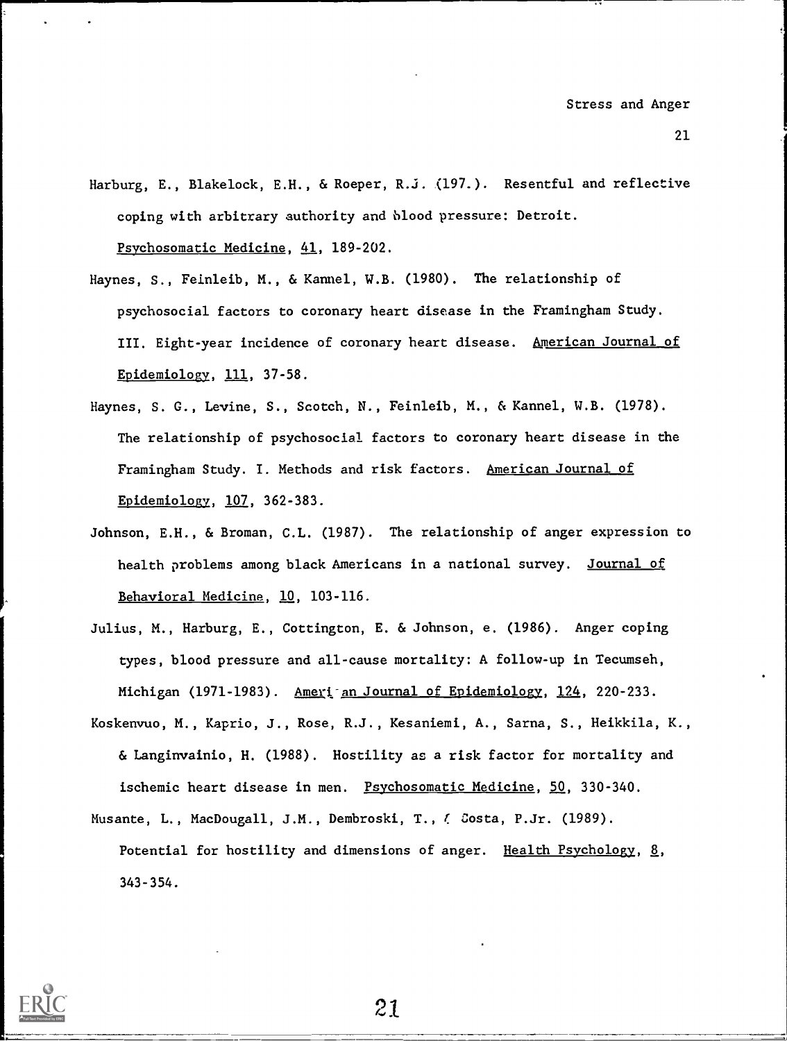- Harburg, E., Blakelock, E.H., & Roeper, R.j. (197.). Resentful and reflective coping with arbitrary authority and blood pressure: Detroit. Psychosomatic Medicine, 41, 189-202.
- Haynes, S., Feinleib, M., & Kennel, W.B. (1980). The relationship of psychosocial factors to coronary heart disease in the Framingham Study. III. Eight-year incidence of coronary heart disease. American Journal of Epidemiology, 111, 37-58.
- Haynes, S. G., Levine, S., Scotch, N., Feinlefb, M., & Kennel, W.B. (1978). The relationship of psychosocial factors to coronary heart disease in the Framingham Study. I. Methods and risk factors. American Journal of Epidemiology, 107, 362-383.
- Johnson, E.H., & Broman, C.L. (1987). The relationship of anger expression to health problems among black Americans in a national survey. Journal of Behavioral Medicine, 10, 103-116.
- Julius, M., Harburg, E., Cottington, E. & Johnson, e. (1986). Anger coping types, blood pressure and all-cause mortality: A follow-up in Tecumseh, Michigan (1971-1983). Ameri<sup>-</sup>an Journal of Epidemiology, 124, 220-233.
- Koskenvuo, M., Kaprio, J., Rose, R.J., Kesaniemi, A., Sarna, S., Heikkila, K., & Langinvainio, H. (1988). Hostility as a risk factor for mortality and ischemic heart disease in men. Psychosomatic Medicine, 50, 330-340.

Musante, L., MacDougall, J.M., Dembroski, T., f. Costa, P.Jr. (1989). Potential for hostility and dimensions of anger. Health Psychology, 8, 343-354.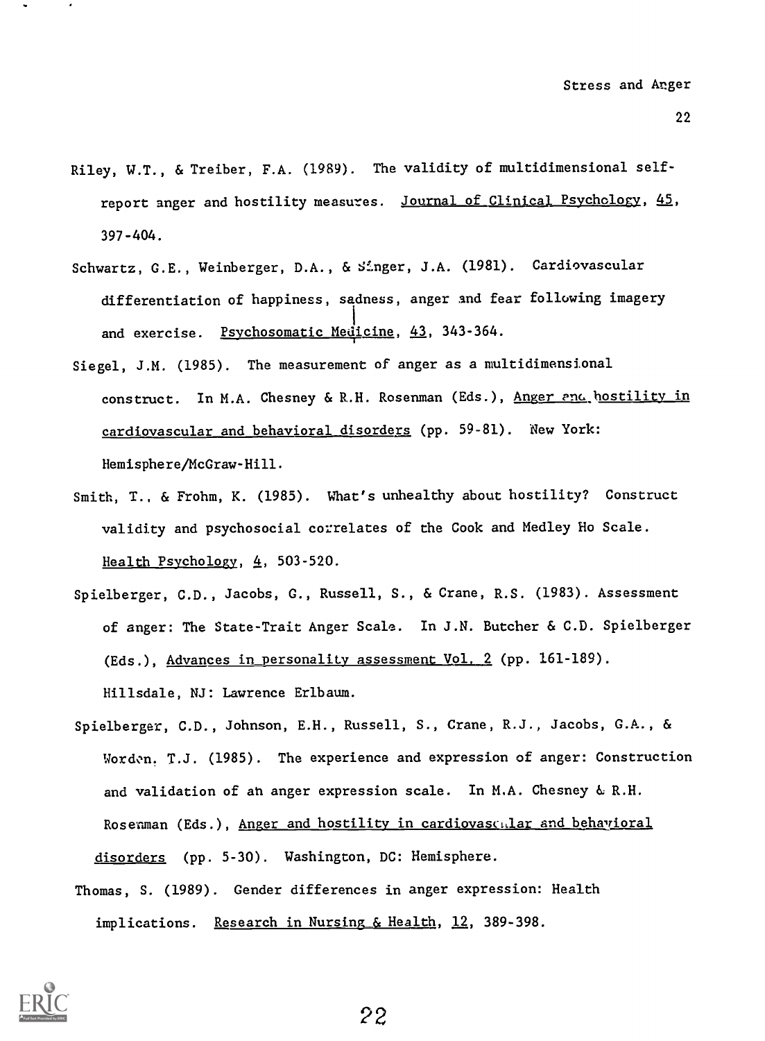- Riley, W.T., & Treiber, F.A. (1989). The validity of multidimensional selfreport anger and hostility measures. Journal of Clinical Psychology, 45, 397-404.
- Schwartz, G.E., Weinberger, D.A., & Singer, J.A. (1981). Cardiovascular differentiation of happiness, sadness, anger and fear following imagery and exercise. Psychosomatic Medicine, 43, 343-364.
- Siegel, J.M. (1985). The measurement of anger as a multidimensional construct. In M.A. Chesney & R.H. Rosenman (Eds.), Anger and hostility in cardiovascular and behavioral disorders (pp. 59-81). New York: Hemisphere/McGraw-Hill.
- Smith, T., & Frohm, K. (1985). What's unhealthy about hostility? Construct validity and psychosocial correlates of the Cook and Medley Ho Scale. Health Psychology, 4, 503-520.
- Spielberger, C.D., Jacobs, G., Russell, 8., & Crane, R.S. (1983). Assessment of anger: The State-Trait Anger Scale. In J.N. Butcher & C.D. Spielberger (Eds.), Advances in personality assessment Vol. 2 (pp. 161-189). Hillsdale, NJ: Lawrence Erlbaum.
- Spielberger, C.D., Johnson, E.H., Russell, S., Crane, R.J., Jacobs, G.A., & Worden. T.J. (1985). The experience and expression of anger: Construction and validation of an anger expression scale. In M.A. Chesney & R.H. Rosenman (Eds.), Anger and hostility in cardiovascalar and behavioral disorders (pp. 5-30). Washington, DC: Hemisphere.
- Thomas, S. (1989). Gender differences in anger expression: Health implications. Research in Nursing & Health, 12, 389-398.

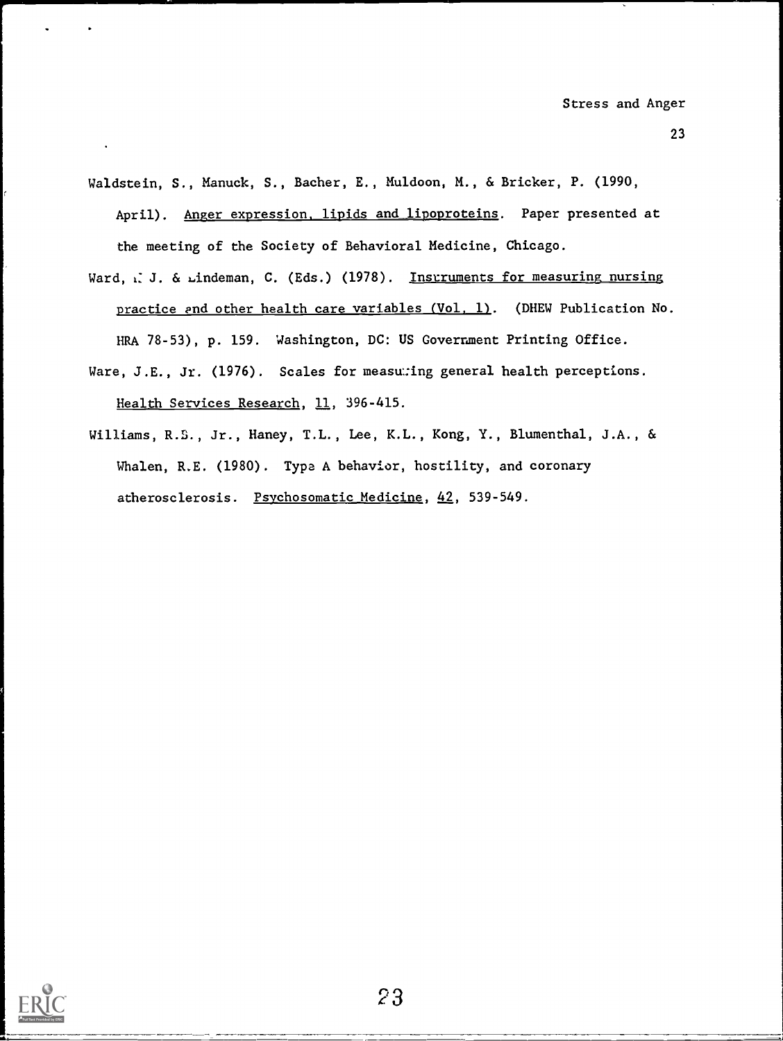- 23
- Waldstein, S., Manuck, S., Bacher, E., Muldoon, M., & Bricker, P. (1990, April). Anger expression, lipids and lipoproteins. Paper presented at the meeting of the Society of Behavioral Medicine, Chicago.
- Ward, x: J. & Lindeman, C. (Eds.) (1978). Instruments for measuring nursing practice end other health care variables (Vol, 1). (DHEW Publication No. HRA 78-53), p. 159. Washington, DC: US Government Printing Office.
- Ware, J.E., Jr. (1976). Scales for measu:ing general health perceptions. Health Services Research, 11, 396-415.
- Williams, R.B., Jr., Haney, T.L., Lee, K.L., Kong, Y., Blumenthal, J.A., & Whalen, R.E. (1980). Type A behavior, hostility, and coronary atherosclerosis. Psychosomatic Medicine, 42, 539-549.

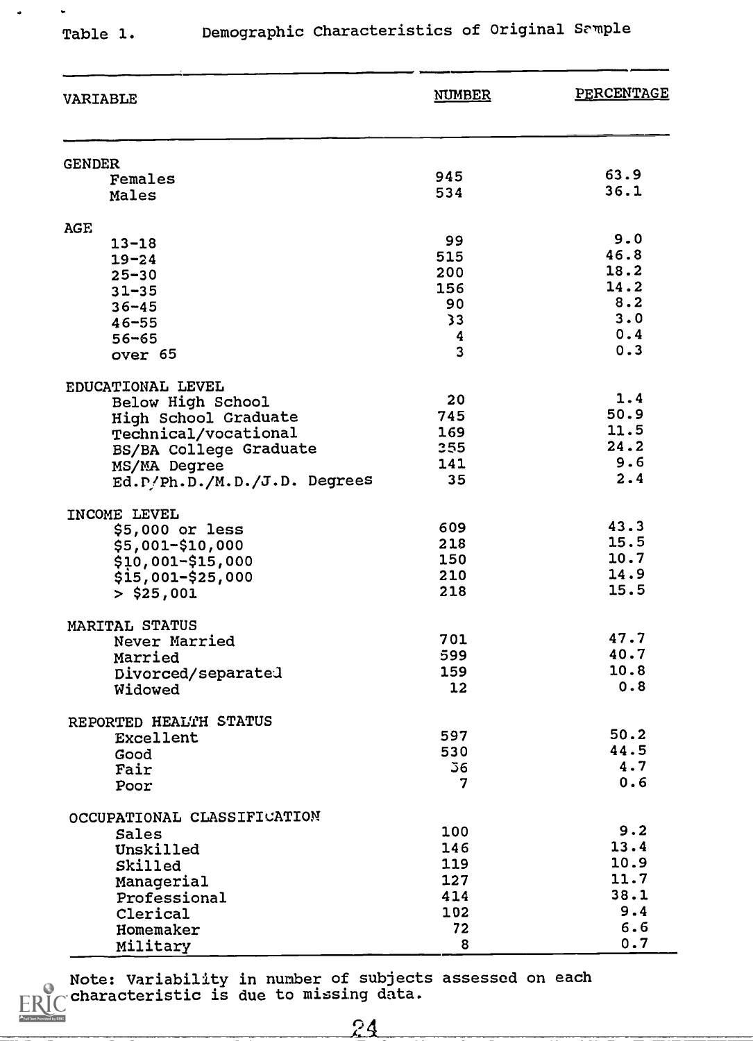$\ddot{\phantom{0}}$ 

 $\ddot{ }$ 

E

ed by ERIC

# Table 1. Demographic Characteristics of Original Sample

| <b>VARIABLE</b>               | <b>NUMBER</b>  | PERCENTAGE   |  |
|-------------------------------|----------------|--------------|--|
|                               |                |              |  |
| <b>GENDER</b><br>Females      | 945            | 63.9         |  |
| Males                         | 534            | 36.1         |  |
|                               |                |              |  |
| <b>AGE</b>                    |                |              |  |
| $13 - 18$                     | 99             | 9.0          |  |
| $19 - 24$                     | 515            | 46.8         |  |
| $25 - 30$                     | 200            | 18.2         |  |
| $31 - 35$                     | 156            | 14.2         |  |
| $36 - 45$                     | 90             | 8.2          |  |
| $46 - 55$                     | 33             | 3.0          |  |
| $56 - 65$                     | 4              | 0.4<br>0.3   |  |
| over 65                       | 3              |              |  |
| EDUCATIONAL LEVEL             |                |              |  |
| Below High School             | 20             | 1.4          |  |
| High School Graduate          | 745            | 50.9         |  |
| Technical/vocational          | 169            | 11.5         |  |
| BS/BA College Graduate        | 355            | 24.2         |  |
| MS/MA Degree                  | 141            | 9.6          |  |
| Ed. P/Ph.D./M.D./J.D. Degrees | 35             | 2.4          |  |
|                               |                |              |  |
| INCOME LEVEL                  |                |              |  |
| $$5,000$ or less              | 609            | 43.3         |  |
| \$5,001-\$10,000              | 218            | 15.5         |  |
| $$10,001 - $15,000$           | 150            | 10.7<br>14.9 |  |
| $$15,001 - $25,000$           | 210            | 15.5         |  |
| $>$ \$25,001                  | 218            |              |  |
| MARITAL STATUS                |                |              |  |
| Never Married                 | 701            | 47.7         |  |
| Married                       | 599            | 40.7         |  |
| Divorced/separated            | 159            | 10.8         |  |
| Widowed                       | 12             | 0.8          |  |
|                               |                |              |  |
| REPORTED HEALTH STATUS        |                |              |  |
| Excellent                     | 597            | 50.2         |  |
| Good                          | 530            | 44.5         |  |
| Fair                          | 36             | 4.7          |  |
| Poor                          | $\overline{7}$ | 0.6          |  |
| OCCUPATIONAL CLASSIFICATION   |                |              |  |
| Sales                         | 100            | 9.2          |  |
| Unskilled                     | 146            | 13.4         |  |
| Skilled                       | 119            | 10.9         |  |
| Managerial                    | 127            | 11.7         |  |
| Professional                  | 414            | 38.1         |  |
| Clerical                      | 102            | 9.4          |  |
| Homemaker                     | 72             | 6.6          |  |
| Military                      | 8              | 0.7          |  |

Note: Variability in number of subjects assessed on each characteristic is due to missing data. K